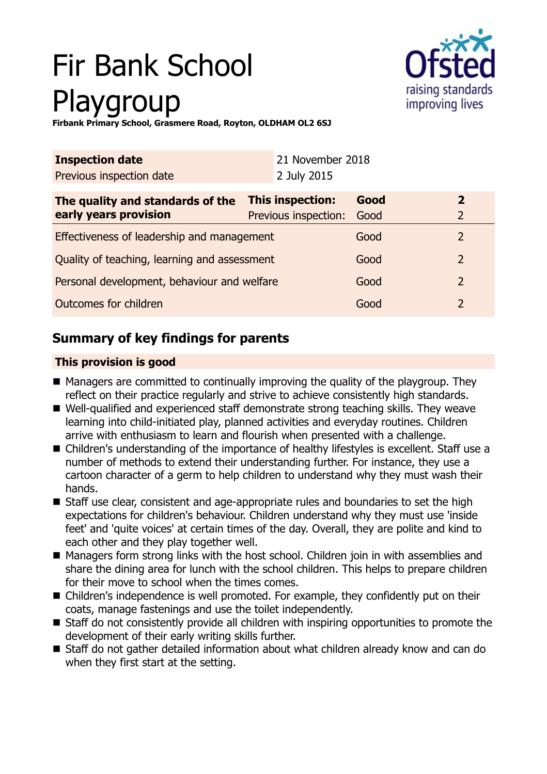# Fir Bank School Playgroup



**Firbank Primary School, Grasmere Road, Royton, OLDHAM OL2 6SJ**

| <b>Inspection date</b>                       | 21 November 2018     |      |                |
|----------------------------------------------|----------------------|------|----------------|
| Previous inspection date                     | 2 July 2015          |      |                |
| The quality and standards of the             | This inspection:     | Good | $\overline{2}$ |
| early years provision                        | Previous inspection: | Good | 2              |
| Effectiveness of leadership and management   |                      | Good | 2              |
| Quality of teaching, learning and assessment |                      | Good | 2              |
| Personal development, behaviour and welfare  |                      | Good | $\overline{2}$ |
| Outcomes for children                        |                      | Good | 2              |

# **Summary of key findings for parents**

## **This provision is good**

- Managers are committed to continually improving the quality of the playgroup. They reflect on their practice regularly and strive to achieve consistently high standards.
- Well-qualified and experienced staff demonstrate strong teaching skills. They weave learning into child-initiated play, planned activities and everyday routines. Children arrive with enthusiasm to learn and flourish when presented with a challenge.
- Children's understanding of the importance of healthy lifestyles is excellent. Staff use a number of methods to extend their understanding further. For instance, they use a cartoon character of a germ to help children to understand why they must wash their hands.
- Staff use clear, consistent and age-appropriate rules and boundaries to set the high expectations for children's behaviour. Children understand why they must use 'inside feet' and 'quite voices' at certain times of the day. Overall, they are polite and kind to each other and they play together well.
- Managers form strong links with the host school. Children join in with assemblies and share the dining area for lunch with the school children. This helps to prepare children for their move to school when the times comes.
- Children's independence is well promoted. For example, they confidently put on their coats, manage fastenings and use the toilet independently.
- $\blacksquare$  Staff do not consistently provide all children with inspiring opportunities to promote the development of their early writing skills further.
- Staff do not gather detailed information about what children already know and can do when they first start at the setting.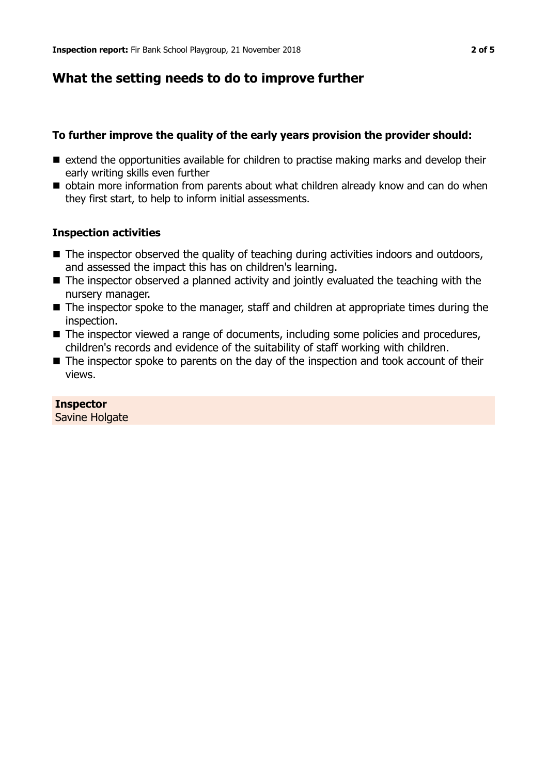## **What the setting needs to do to improve further**

#### **To further improve the quality of the early years provision the provider should:**

- $\blacksquare$  extend the opportunities available for children to practise making marks and develop their early writing skills even further
- obtain more information from parents about what children already know and can do when they first start, to help to inform initial assessments.

#### **Inspection activities**

- $\blacksquare$  The inspector observed the quality of teaching during activities indoors and outdoors, and assessed the impact this has on children's learning.
- $\blacksquare$  The inspector observed a planned activity and jointly evaluated the teaching with the nursery manager.
- $\blacksquare$  The inspector spoke to the manager, staff and children at appropriate times during the inspection.
- $\blacksquare$  The inspector viewed a range of documents, including some policies and procedures, children's records and evidence of the suitability of staff working with children.
- $\blacksquare$  The inspector spoke to parents on the day of the inspection and took account of their views.

## **Inspector**

Savine Holgate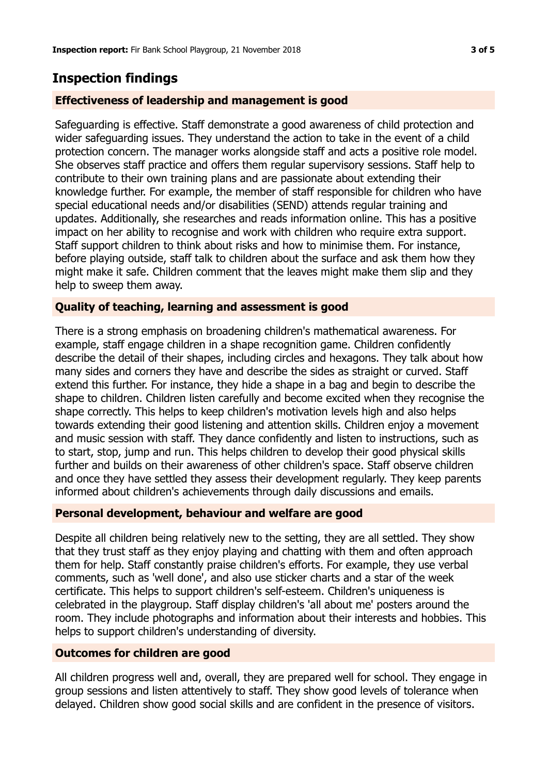## **Inspection findings**

## **Effectiveness of leadership and management is good**

Safeguarding is effective. Staff demonstrate a good awareness of child protection and wider safeguarding issues. They understand the action to take in the event of a child protection concern. The manager works alongside staff and acts a positive role model. She observes staff practice and offers them regular supervisory sessions. Staff help to contribute to their own training plans and are passionate about extending their knowledge further. For example, the member of staff responsible for children who have special educational needs and/or disabilities (SEND) attends regular training and updates. Additionally, she researches and reads information online. This has a positive impact on her ability to recognise and work with children who require extra support. Staff support children to think about risks and how to minimise them. For instance, before playing outside, staff talk to children about the surface and ask them how they might make it safe. Children comment that the leaves might make them slip and they help to sweep them away.

## **Quality of teaching, learning and assessment is good**

There is a strong emphasis on broadening children's mathematical awareness. For example, staff engage children in a shape recognition game. Children confidently describe the detail of their shapes, including circles and hexagons. They talk about how many sides and corners they have and describe the sides as straight or curved. Staff extend this further. For instance, they hide a shape in a bag and begin to describe the shape to children. Children listen carefully and become excited when they recognise the shape correctly. This helps to keep children's motivation levels high and also helps towards extending their good listening and attention skills. Children enjoy a movement and music session with staff. They dance confidently and listen to instructions, such as to start, stop, jump and run. This helps children to develop their good physical skills further and builds on their awareness of other children's space. Staff observe children and once they have settled they assess their development regularly. They keep parents informed about children's achievements through daily discussions and emails.

## **Personal development, behaviour and welfare are good**

Despite all children being relatively new to the setting, they are all settled. They show that they trust staff as they enjoy playing and chatting with them and often approach them for help. Staff constantly praise children's efforts. For example, they use verbal comments, such as 'well done', and also use sticker charts and a star of the week certificate. This helps to support children's self-esteem. Children's uniqueness is celebrated in the playgroup. Staff display children's 'all about me' posters around the room. They include photographs and information about their interests and hobbies. This helps to support children's understanding of diversity.

## **Outcomes for children are good**

All children progress well and, overall, they are prepared well for school. They engage in group sessions and listen attentively to staff. They show good levels of tolerance when delayed. Children show good social skills and are confident in the presence of visitors.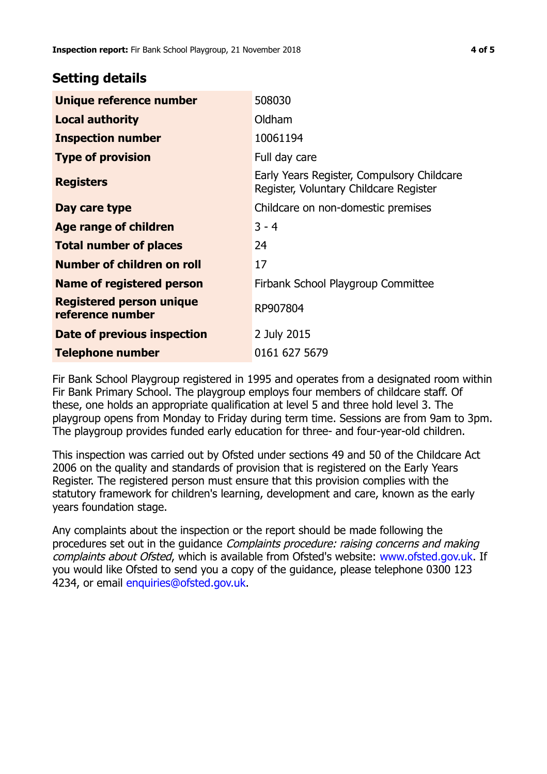## **Setting details**

| Unique reference number                             | 508030                                                                               |
|-----------------------------------------------------|--------------------------------------------------------------------------------------|
| <b>Local authority</b>                              | Oldham                                                                               |
| <b>Inspection number</b>                            | 10061194                                                                             |
| <b>Type of provision</b>                            | Full day care                                                                        |
| <b>Registers</b>                                    | Early Years Register, Compulsory Childcare<br>Register, Voluntary Childcare Register |
| Day care type                                       | Childcare on non-domestic premises                                                   |
| <b>Age range of children</b>                        | $3 - 4$                                                                              |
| <b>Total number of places</b>                       | 24                                                                                   |
| Number of children on roll                          | 17                                                                                   |
| Name of registered person                           | Firbank School Playgroup Committee                                                   |
| <b>Registered person unique</b><br>reference number | RP907804                                                                             |
| Date of previous inspection                         | 2 July 2015                                                                          |
| Telephone number                                    | 0161 627 5679                                                                        |

Fir Bank School Playgroup registered in 1995 and operates from a designated room within Fir Bank Primary School. The playgroup employs four members of childcare staff. Of these, one holds an appropriate qualification at level 5 and three hold level 3. The playgroup opens from Monday to Friday during term time. Sessions are from 9am to 3pm. The playgroup provides funded early education for three- and four-year-old children.

This inspection was carried out by Ofsted under sections 49 and 50 of the Childcare Act 2006 on the quality and standards of provision that is registered on the Early Years Register. The registered person must ensure that this provision complies with the statutory framework for children's learning, development and care, known as the early years foundation stage.

Any complaints about the inspection or the report should be made following the procedures set out in the guidance Complaints procedure: raising concerns and making complaints about Ofsted, which is available from Ofsted's website: www.ofsted.gov.uk. If you would like Ofsted to send you a copy of the guidance, please telephone 0300 123 4234, or email [enquiries@ofsted.gov.uk.](mailto:enquiries@ofsted.gov.uk)